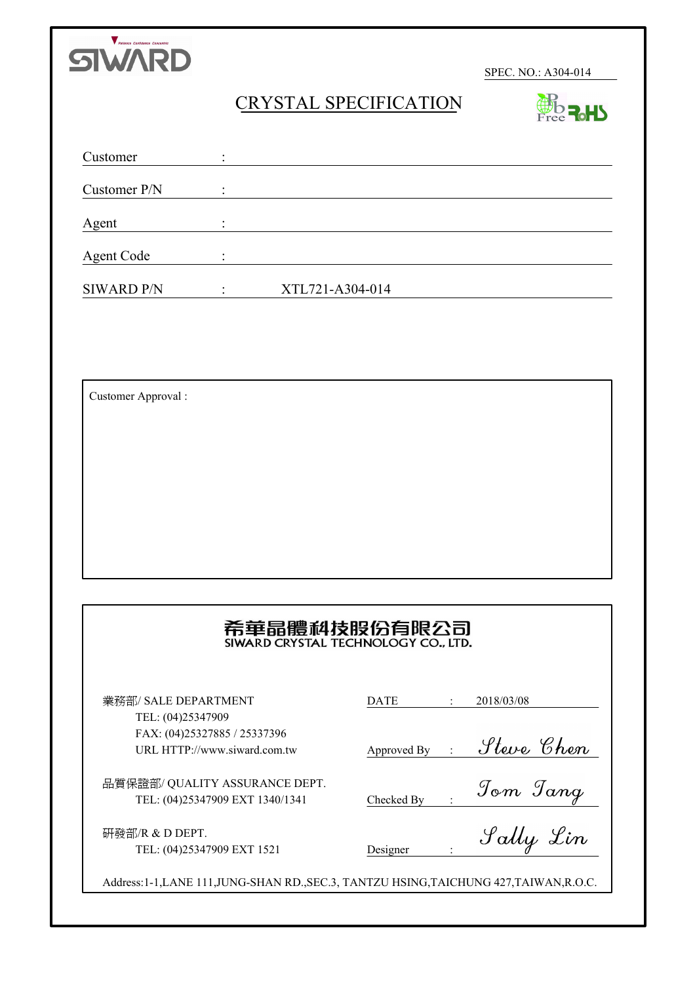

**BO R.HY** 

# CRYSTAL SPECIFICATION

| Customer          |                 |  |
|-------------------|-----------------|--|
| Customer P/N      |                 |  |
| Agent             |                 |  |
| <b>Agent Code</b> |                 |  |
| <b>SIWARD P/N</b> | XTL721-A304-014 |  |

Customer Approval :

# 希華晶體科技股份有限公司

業務部/ SALE DEPARTMENT TEL: (04)25347909 FAX: (04)25327885 / 25337396 URL HTTP://www.siward.com.tw 品質保證部/ QUALITY ASSURANCE DEPT.

TEL: (04)25347909 EXT 1340/1341

研發部/R & D DEPT. TEL: (04)25347909 EXT 1521

| DATE | 2018/03/08 |
|------|------------|
|      |            |

Approved By :

Checked By :

Designer :

Address:1-1,LANE 111,JUNG-SHAN RD.,SEC.3, TANTZU HSING,TAICHUNG 427,TAIWAN,R.O.C.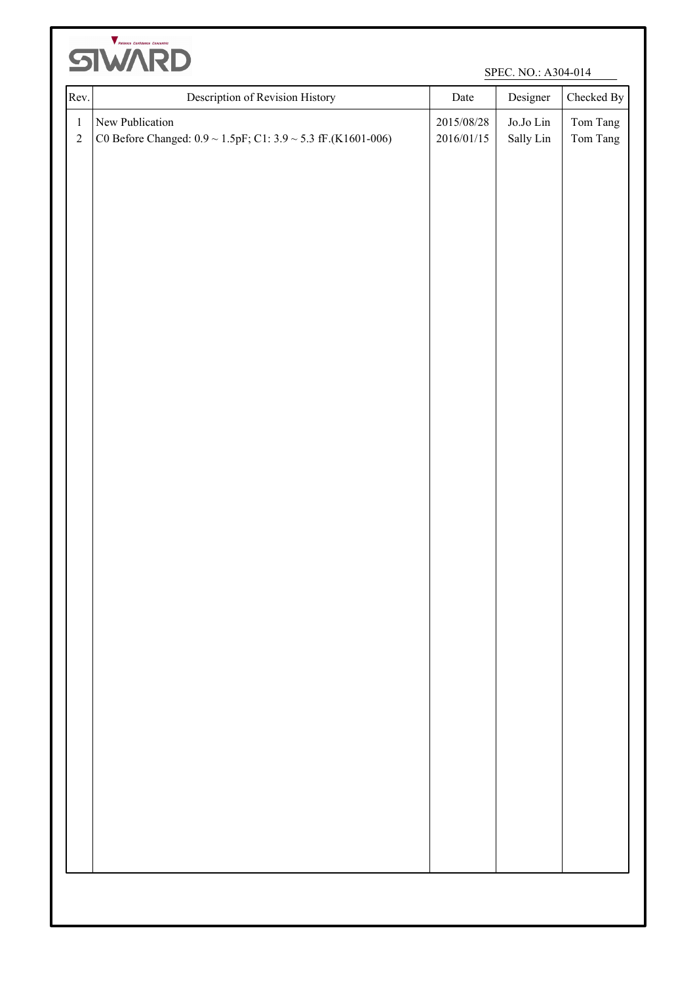

| Rev.                  | Description of Revision History                                                            | Date                       | Designer                            | Checked By           |
|-----------------------|--------------------------------------------------------------------------------------------|----------------------------|-------------------------------------|----------------------|
| $\,1\,$<br>$\sqrt{2}$ | New Publication<br>C0 Before Changed: $0.9 \sim 1.5pF$ ; C1: $3.9 \sim 5.3$ fF.(K1601-006) | $2015/08/28$<br>2016/01/15 | $\rm Jo.$ Jo $\rm Lin$<br>Sally Lin | Tom Tang<br>Tom Tang |
|                       |                                                                                            |                            |                                     |                      |
|                       |                                                                                            |                            |                                     |                      |
|                       |                                                                                            |                            |                                     |                      |
|                       |                                                                                            |                            |                                     |                      |
|                       |                                                                                            |                            |                                     |                      |
|                       |                                                                                            |                            |                                     |                      |
|                       |                                                                                            |                            |                                     |                      |
|                       |                                                                                            |                            |                                     |                      |
|                       |                                                                                            |                            |                                     |                      |
|                       |                                                                                            |                            |                                     |                      |
|                       |                                                                                            |                            |                                     |                      |
|                       |                                                                                            |                            |                                     |                      |
|                       |                                                                                            |                            |                                     |                      |
|                       |                                                                                            |                            |                                     |                      |
|                       |                                                                                            |                            |                                     |                      |
|                       |                                                                                            |                            |                                     |                      |
|                       |                                                                                            |                            |                                     |                      |
|                       |                                                                                            |                            |                                     |                      |
|                       |                                                                                            |                            |                                     |                      |
|                       |                                                                                            |                            |                                     |                      |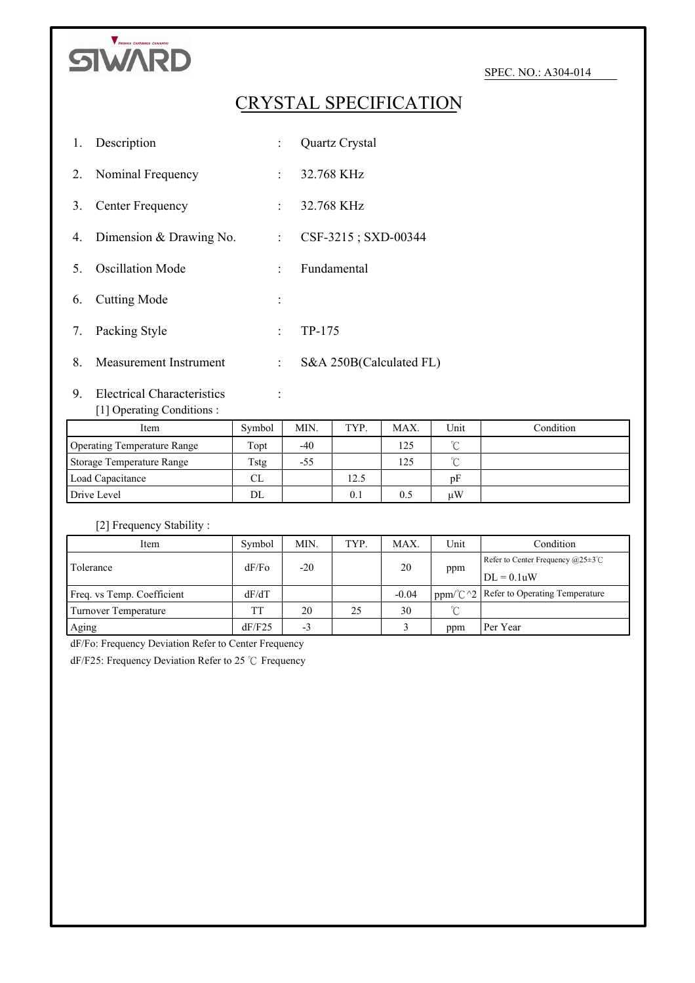

# CRYSTAL SPECIFICATION

|    | 1. Description             |        | Quartz Crystal          |
|----|----------------------------|--------|-------------------------|
| 2. | Nominal Frequency          |        | $: 32.768 \text{ KHz}$  |
| 3. | Center Frequency           |        | $: 32.768 \text{ KHz}$  |
|    | 4. Dimension & Drawing No. | t in   | CSF-3215; SXD-00344     |
| 5  | <b>Oscillation Mode</b>    | $\sim$ | Fundamental             |
| 6. | Cutting Mode               |        |                         |
| 7. | Packing Style              | $\sim$ | TP-175                  |
|    | 8. Measurement Instrument  |        | S&A 250B(Calculated FL) |

# 9. Electrical Characteristics : [1] Operating Conditions :

| Item                        | Symbol | MIN.  | TYP. | MAX. | Unit   | Condition |
|-----------------------------|--------|-------|------|------|--------|-----------|
| Operating Temperature Range | Topt   | $-40$ |      | 125  | $\sim$ |           |
| Storage Temperature Range   | Tstg   | -55   |      | 125  | $\sim$ |           |
| Load Capacitance            | CL     |       | 12.5 |      | pF     |           |
| Drive Level                 | DL     |       | 0.1  | 0.5  | иW     |           |

# [2] Frequency Stability :

| Item                        | Symbol | MIN.  | TYP. | MAX.    | Unit            | Condition                                                     |
|-----------------------------|--------|-------|------|---------|-----------------|---------------------------------------------------------------|
| Tolerance                   | dF/Fo  | $-20$ |      | 20      |                 | Refer to Center Frequency $(a)25\pm3^{\circ}$ C               |
|                             |        |       |      |         | ppm             | $DL = 0.1$ uW                                                 |
| Freq. vs Temp. Coefficient  | dF/dT  |       |      | $-0.04$ |                 | ppm/ $\degree$ C $\degree$ 2   Refer to Operating Temperature |
| <b>Turnover Temperature</b> | TT     | 20    | 25   | 30      | $\rm ^{\circ}C$ |                                                               |
| Aging                       | dF/F25 | $-3$  |      |         | ppm             | Per Year                                                      |

dF/Fo: Frequency Deviation Refer to Center Frequency

dF/F25: Frequency Deviation Refer to 25 ℃ Frequency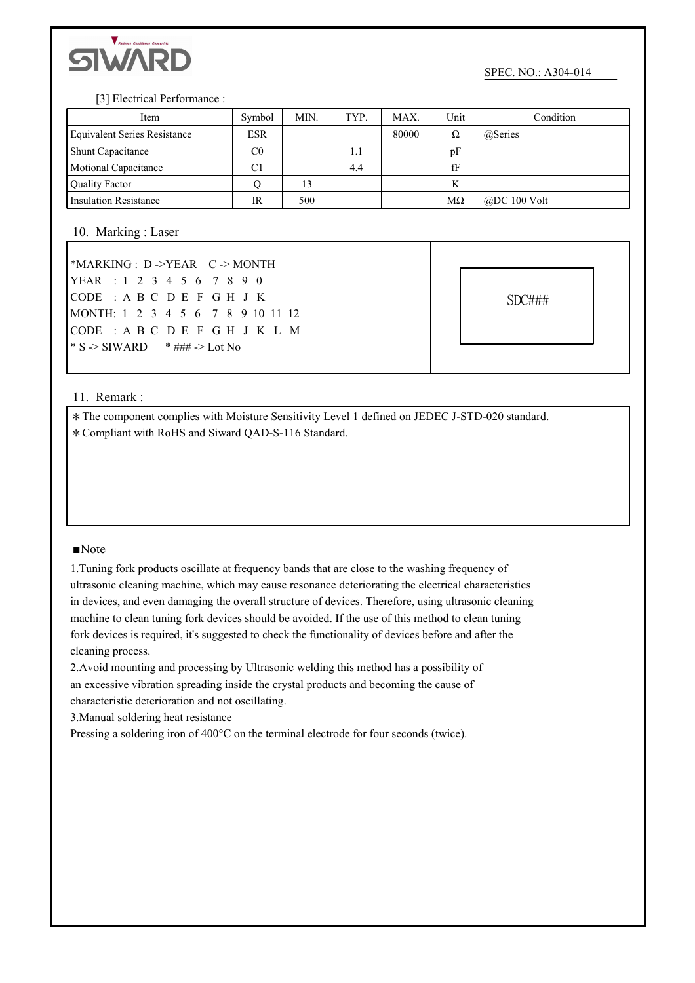

#### [3] Electrical Performance :

| Item                                | Symbol     | MIN. | TYP. | MAX.  | Unit      | Condition            |
|-------------------------------------|------------|------|------|-------|-----------|----------------------|
| <b>Equivalent Series Resistance</b> | <b>ESR</b> |      |      | 80000 | Ω         | @Series              |
| <b>Shunt Capacitance</b>            | C0         |      | 1.1  |       | pF        |                      |
| <b>Motional Capacitance</b>         | C1         |      | 4.4  |       | fF        |                      |
| <b>Quality Factor</b>               |            | 13   |      |       | K         |                      |
| <b>Insulation Resistance</b>        | IR         | 500  |      |       | $M\Omega$ | $\omega$ DC 100 Volt |

## 10. Marking : Laser

| *MARKING: $D \rightarrow YEAR$ $C \rightarrow MONTH$ |  |  |  |  |  |  |  |  |  |  |  |  |
|------------------------------------------------------|--|--|--|--|--|--|--|--|--|--|--|--|
| YEAR : 1 2 3 4 5 6 7 8 9 0                           |  |  |  |  |  |  |  |  |  |  |  |  |
| CODE : A B C D E F G H J K                           |  |  |  |  |  |  |  |  |  |  |  |  |
| MONTH: 1 2 3 4 5 6 7 8 9 10 11 12                    |  |  |  |  |  |  |  |  |  |  |  |  |
| CODE : A B C D E F G H J K L M                       |  |  |  |  |  |  |  |  |  |  |  |  |
|                                                      |  |  |  |  |  |  |  |  |  |  |  |  |

SDC###

### 11. Remark :

\*The component complies with Moisture Sensitivity Level 1 defined on JEDEC J-STD-020 standard. \*Compliant with RoHS and Siward QAD-S-116 Standard.

### ■Note

1.Tuning fork products oscillate at frequency bands that are close to the washing frequency of ultrasonic cleaning machine, which may cause resonance deteriorating the electrical characteristics in devices, and even damaging the overall structure of devices. Therefore, using ultrasonic cleaning machine to clean tuning fork devices should be avoided. If the use of this method to clean tuning fork devices is required, it's suggested to check the functionality of devices before and after the cleaning process.

2.Avoid mounting and processing by Ultrasonic welding this method has a possibility of an excessive vibration spreading inside the crystal products and becoming the cause of characteristic deterioration and not oscillating.

3.Manual soldering heat resistance

Pressing a soldering iron of 400°C on the terminal electrode for four seconds (twice).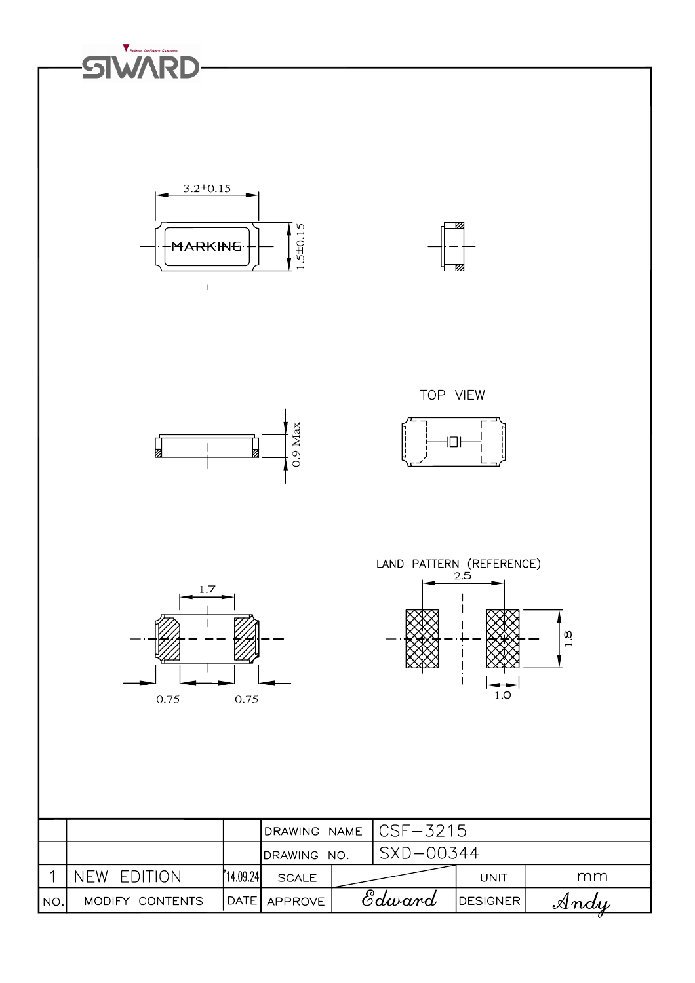